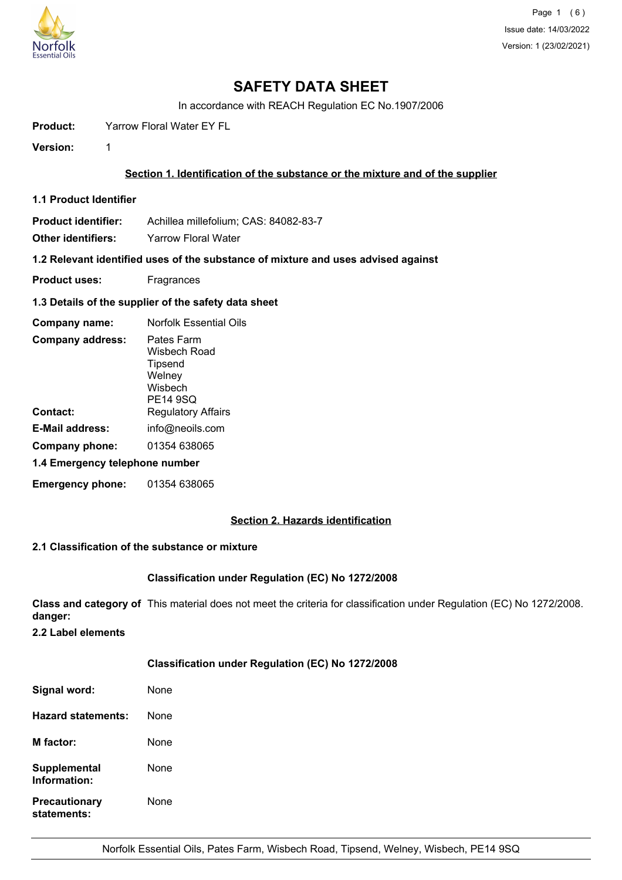

# **SAFETY DATA SHEET**

In accordance with REACH Regulation EC No.1907/2006

**Product:** Yarrow Floral Water EY FL

**Version:** 1

## **Section 1. Identification of the substance or the mixture and of the supplier**

**1.1 Product Identifier**

**Product identifier:** Achillea millefolium; CAS: 84082-83-7

**Other identifiers:** Yarrow Floral Water

**1.2 Relevant identified uses of the substance of mixture and uses advised against**

- **Product uses:** Fragrances
- **1.3 Details of the supplier of the safety data sheet**

| Company name:                  | Norfolk Essential Oils                                                        |  |
|--------------------------------|-------------------------------------------------------------------------------|--|
| <b>Company address:</b>        | Pates Farm<br>Wisbech Road<br>Tipsend<br>Welney<br>Wisbech<br><b>PE14 9SQ</b> |  |
| Contact:                       | <b>Regulatory Affairs</b>                                                     |  |
| <b>E-Mail address:</b>         | info@neoils.com                                                               |  |
| Company phone:                 | 01354 638065                                                                  |  |
| 1.4 Emergency telephone number |                                                                               |  |
| <b>Emergency phone:</b>        | 01354 638065                                                                  |  |

## **Section 2. Hazards identification**

## **2.1 Classification of the substance or mixture**

## **Classification under Regulation (EC) No 1272/2008**

**Class and category of** This material does not meet the criteria for classification under Regulation (EC) No 1272/2008. **danger:**

**2.2 Label elements**

## **Classification under Regulation (EC) No 1272/2008**

| Signal word:                        | None |
|-------------------------------------|------|
| Hazard statements:                  | None |
| <b>M</b> factor:                    | None |
| Supplemental<br>Information:        | None |
| <b>Precautionary</b><br>statements: | None |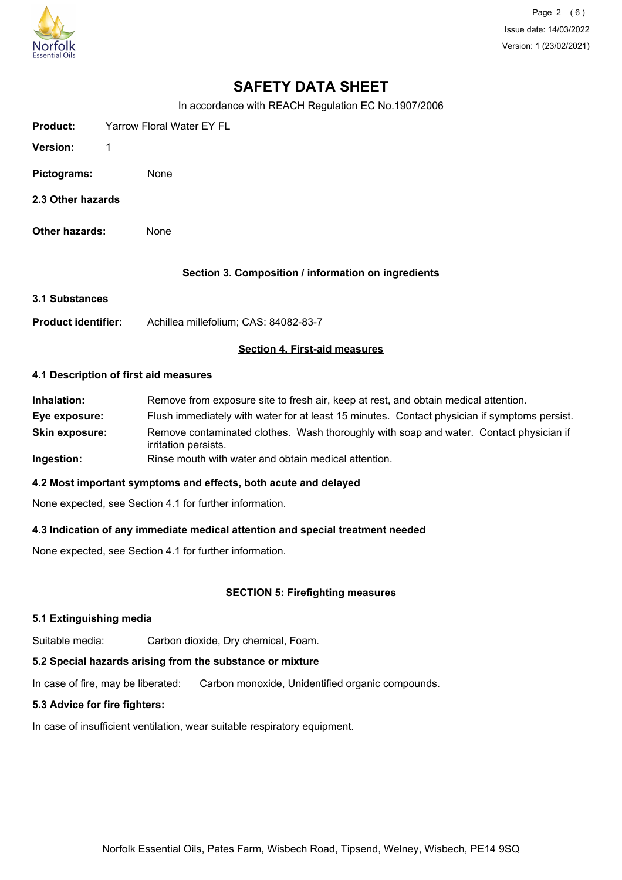

Page 2 (6) Issue date: 14/03/2022 Version: 1 (23/02/2021)

# **SAFETY DATA SHEET**

In accordance with REACH Regulation EC No.1907/2006

| Product:    | <b>Yarrow Floral Water EY FL</b> |  |
|-------------|----------------------------------|--|
| Version:    | -1                               |  |
| Pictograms: | None                             |  |

- **2.3 Other hazards**
- **Other hazards:** None

## **Section 3. Composition / information on ingredients**

- **3.1 Substances**
- **Product identifier:** Achillea millefolium; CAS: 84082-83-7

## **Section 4. First-aid measures**

#### **4.1 Description of first aid measures**

| Inhalation:           | Remove from exposure site to fresh air, keep at rest, and obtain medical attention.                            |
|-----------------------|----------------------------------------------------------------------------------------------------------------|
| Eye exposure:         | Flush immediately with water for at least 15 minutes. Contact physician if symptoms persist.                   |
| <b>Skin exposure:</b> | Remove contaminated clothes. Wash thoroughly with soap and water. Contact physician if<br>irritation persists. |
| Ingestion:            | Rinse mouth with water and obtain medical attention.                                                           |

#### **4.2 Most important symptoms and effects, both acute and delayed**

None expected, see Section 4.1 for further information.

## **4.3 Indication of any immediate medical attention and special treatment needed**

None expected, see Section 4.1 for further information.

## **SECTION 5: Firefighting measures**

#### **5.1 Extinguishing media**

Suitable media: Carbon dioxide, Dry chemical, Foam.

## **5.2 Special hazards arising from the substance or mixture**

In case of fire, may be liberated: Carbon monoxide, Unidentified organic compounds.

## **5.3 Advice for fire fighters:**

In case of insufficient ventilation, wear suitable respiratory equipment.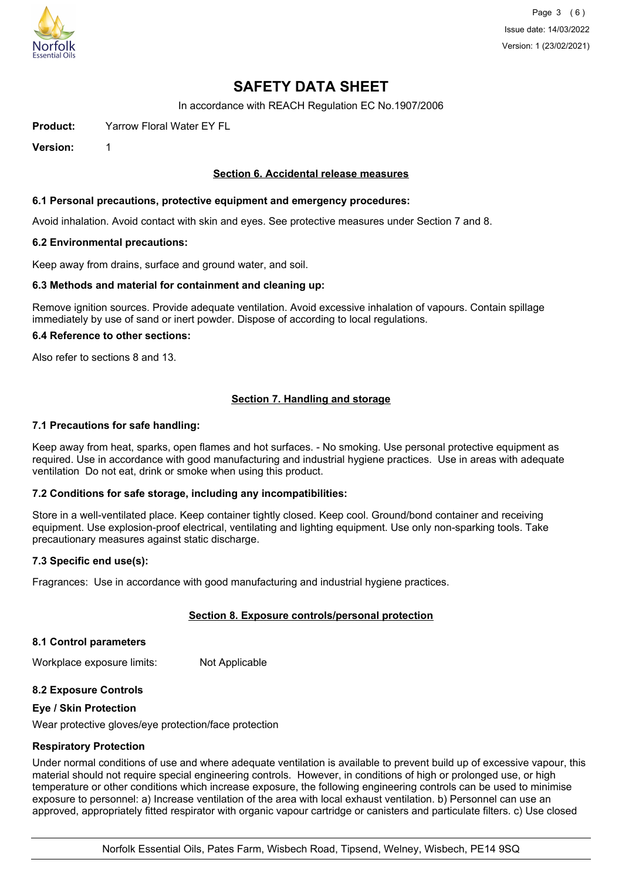

Page 3 (6) Issue date: 14/03/2022 Version: 1 (23/02/2021)

# **SAFETY DATA SHEET**

In accordance with REACH Regulation EC No.1907/2006

**Product:** Yarrow Floral Water EY FL

**Version:** 1

## **Section 6. Accidental release measures**

#### **6.1 Personal precautions, protective equipment and emergency procedures:**

Avoid inhalation. Avoid contact with skin and eyes. See protective measures under Section 7 and 8.

#### **6.2 Environmental precautions:**

Keep away from drains, surface and ground water, and soil.

#### **6.3 Methods and material for containment and cleaning up:**

Remove ignition sources. Provide adequate ventilation. Avoid excessive inhalation of vapours. Contain spillage immediately by use of sand or inert powder. Dispose of according to local regulations.

#### **6.4 Reference to other sections:**

Also refer to sections 8 and 13.

## **Section 7. Handling and storage**

#### **7.1 Precautions for safe handling:**

Keep away from heat, sparks, open flames and hot surfaces. - No smoking. Use personal protective equipment as required. Use in accordance with good manufacturing and industrial hygiene practices. Use in areas with adequate ventilation Do not eat, drink or smoke when using this product.

#### **7.2 Conditions for safe storage, including any incompatibilities:**

Store in a well-ventilated place. Keep container tightly closed. Keep cool. Ground/bond container and receiving equipment. Use explosion-proof electrical, ventilating and lighting equipment. Use only non-sparking tools. Take precautionary measures against static discharge.

#### **7.3 Specific end use(s):**

Fragrances: Use in accordance with good manufacturing and industrial hygiene practices.

## **Section 8. Exposure controls/personal protection**

#### **8.1 Control parameters**

Workplace exposure limits: Not Applicable

#### **8.2 Exposure Controls**

#### **Eye / Skin Protection**

Wear protective gloves/eye protection/face protection

#### **Respiratory Protection**

Under normal conditions of use and where adequate ventilation is available to prevent build up of excessive vapour, this material should not require special engineering controls. However, in conditions of high or prolonged use, or high temperature or other conditions which increase exposure, the following engineering controls can be used to minimise exposure to personnel: a) Increase ventilation of the area with local exhaust ventilation. b) Personnel can use an approved, appropriately fitted respirator with organic vapour cartridge or canisters and particulate filters. c) Use closed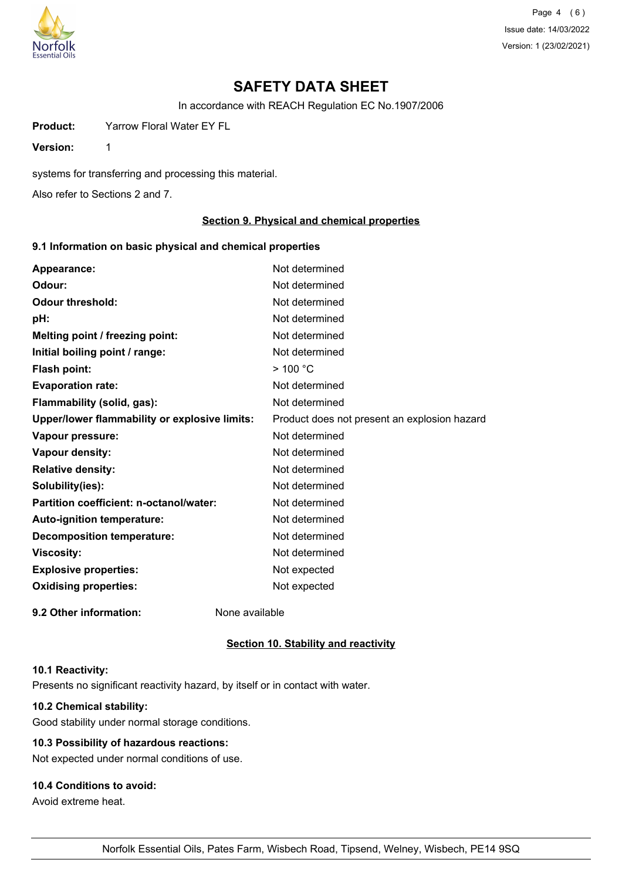

Page 4 (6) Issue date: 14/03/2022 Version: 1 (23/02/2021)

# **SAFETY DATA SHEET**

In accordance with REACH Regulation EC No.1907/2006

**Product:** Yarrow Floral Water EY FL

**Version:** 1

systems for transferring and processing this material.

Also refer to Sections 2 and 7.

## **Section 9. Physical and chemical properties**

## **9.1 Information on basic physical and chemical properties**

| Appearance:                                   | Not determined                               |
|-----------------------------------------------|----------------------------------------------|
| Odour:                                        | Not determined                               |
| <b>Odour threshold:</b>                       | Not determined                               |
| pH:                                           | Not determined                               |
| Melting point / freezing point:               | Not determined                               |
| Initial boiling point / range:                | Not determined                               |
| <b>Flash point:</b>                           | $>$ 100 °C                                   |
| <b>Evaporation rate:</b>                      | Not determined                               |
| Flammability (solid, gas):                    | Not determined                               |
| Upper/lower flammability or explosive limits: | Product does not present an explosion hazard |
| Vapour pressure:                              | Not determined                               |
| Vapour density:                               | Not determined                               |
| <b>Relative density:</b>                      | Not determined                               |
| Solubility(ies):                              | Not determined                               |
| Partition coefficient: n-octanol/water:       | Not determined                               |
| <b>Auto-ignition temperature:</b>             | Not determined                               |
| <b>Decomposition temperature:</b>             | Not determined                               |
| <b>Viscosity:</b>                             | Not determined                               |
| <b>Explosive properties:</b>                  | Not expected                                 |
| <b>Oxidising properties:</b>                  | Not expected                                 |
| 9.2 Other information:                        | None available                               |

#### **Section 10. Stability and reactivity**

## **10.1 Reactivity:**

Presents no significant reactivity hazard, by itself or in contact with water.

## **10.2 Chemical stability:**

Good stability under normal storage conditions.

## **10.3 Possibility of hazardous reactions:**

Not expected under normal conditions of use.

## **10.4 Conditions to avoid:**

Avoid extreme heat.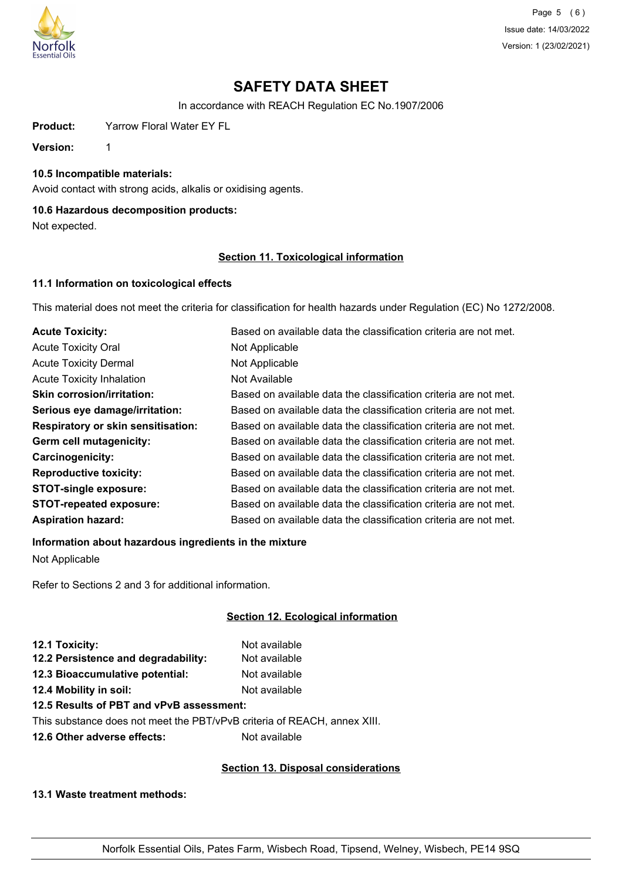

Page 5 (6) Issue date: 14/03/2022 Version: 1 (23/02/2021)

# **SAFETY DATA SHEET**

In accordance with REACH Regulation EC No.1907/2006

**Product:** Yarrow Floral Water EY FL

**Version:** 1

## **10.5 Incompatible materials:**

Avoid contact with strong acids, alkalis or oxidising agents.

## **10.6 Hazardous decomposition products:**

Not expected.

## **Section 11. Toxicological information**

## **11.1 Information on toxicological effects**

This material does not meet the criteria for classification for health hazards under Regulation (EC) No 1272/2008.

| <b>Acute Toxicity:</b>                    | Based on available data the classification criteria are not met. |
|-------------------------------------------|------------------------------------------------------------------|
| <b>Acute Toxicity Oral</b>                | Not Applicable                                                   |
| <b>Acute Toxicity Dermal</b>              | Not Applicable                                                   |
| <b>Acute Toxicity Inhalation</b>          | Not Available                                                    |
| <b>Skin corrosion/irritation:</b>         | Based on available data the classification criteria are not met. |
| Serious eye damage/irritation:            | Based on available data the classification criteria are not met. |
| <b>Respiratory or skin sensitisation:</b> | Based on available data the classification criteria are not met. |
| Germ cell mutagenicity:                   | Based on available data the classification criteria are not met. |
| <b>Carcinogenicity:</b>                   | Based on available data the classification criteria are not met. |
| <b>Reproductive toxicity:</b>             | Based on available data the classification criteria are not met. |
| <b>STOT-single exposure:</b>              | Based on available data the classification criteria are not met. |
| <b>STOT-repeated exposure:</b>            | Based on available data the classification criteria are not met. |
| <b>Aspiration hazard:</b>                 | Based on available data the classification criteria are not met. |

## **Information about hazardous ingredients in the mixture**

Not Applicable

Refer to Sections 2 and 3 for additional information.

## **Section 12. Ecological information**

| 12.1 Toxicity:                      | Not available |
|-------------------------------------|---------------|
| 12.2 Persistence and degradability: | Not available |
| 12.3 Bioaccumulative potential:     | Not available |
| 12.4 Mobility in soil:              | Not available |
|                                     |               |

## **12.5 Results of PBT and vPvB assessment:**

This substance does not meet the PBT/vPvB criteria of REACH, annex XIII.

**12.6 Other adverse effects:** Not available

## **Section 13. Disposal considerations**

**13.1 Waste treatment methods:**